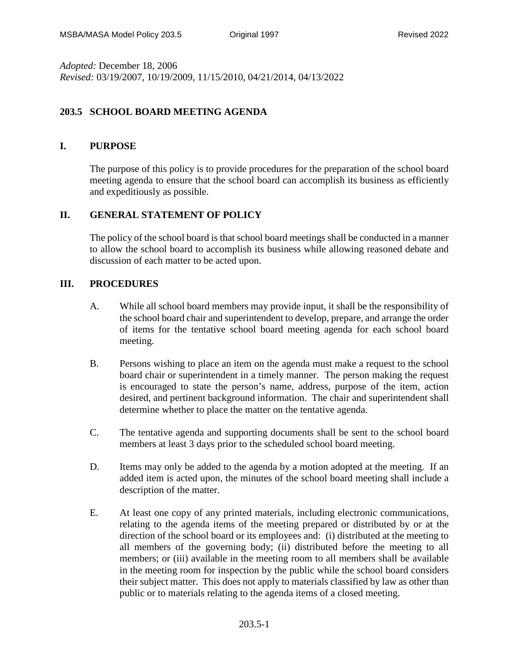*Adopted:* December 18, 2006 *Revised:* 03/19/2007, 10/19/2009, 11/15/2010, 04/21/2014, 04/13/2022

## **203.5 SCHOOL BOARD MEETING AGENDA**

## **I. PURPOSE**

The purpose of this policy is to provide procedures for the preparation of the school board meeting agenda to ensure that the school board can accomplish its business as efficiently and expeditiously as possible.

## **II. GENERAL STATEMENT OF POLICY**

The policy of the school board is that school board meetings shall be conducted in a manner to allow the school board to accomplish its business while allowing reasoned debate and discussion of each matter to be acted upon.

## **III. PROCEDURES**

- A. While all school board members may provide input, it shall be the responsibility of the school board chair and superintendent to develop, prepare, and arrange the order of items for the tentative school board meeting agenda for each school board meeting.
- B. Persons wishing to place an item on the agenda must make a request to the school board chair or superintendent in a timely manner. The person making the request is encouraged to state the person's name, address, purpose of the item, action desired, and pertinent background information. The chair and superintendent shall determine whether to place the matter on the tentative agenda.
- C. The tentative agenda and supporting documents shall be sent to the school board members at least 3 days prior to the scheduled school board meeting.
- D. Items may only be added to the agenda by a motion adopted at the meeting. If an added item is acted upon, the minutes of the school board meeting shall include a description of the matter.
- E. At least one copy of any printed materials, including electronic communications, relating to the agenda items of the meeting prepared or distributed by or at the direction of the school board or its employees and: (i) distributed at the meeting to all members of the governing body; (ii) distributed before the meeting to all members; or (iii) available in the meeting room to all members shall be available in the meeting room for inspection by the public while the school board considers their subject matter. This does not apply to materials classified by law as other than public or to materials relating to the agenda items of a closed meeting.